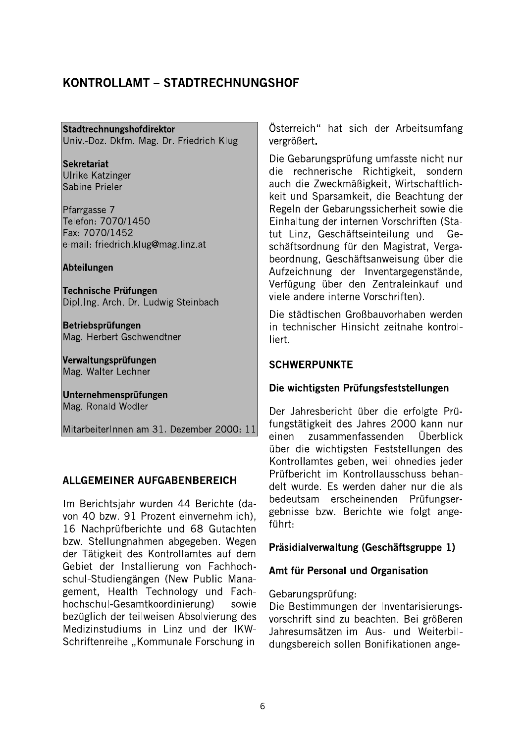# KONTROLLAMT - STADTRECHNUNGSHOF

#### Stadtrechnungshofdirektor

Univ.-Doz. Dkfm. Mag. Dr. Friedrich Klug

**Sekretariat** Ulrike Katzinger Sabine Prieler

Pfarrgasse 7 Telefon: 7070/1450 Fax: 7070/1452 e-mail: friedrich.klug@mag.linz.at

Abteilungen

Technische Prüfungen Dipl.Ing. Arch. Dr. Ludwig Steinbach

Betriebsprüfungen Mag. Herbert Gschwendtner

Verwaltungsprüfungen Mag. Walter Lechner

Unternehmensprüfungen Mag. Ronald Wodler

MitarbeiterInnen am 31. Dezember 2000: 11

#### ALLGEMEINER AUFGABENBEREICH

Im Berichtsjahr wurden 44 Berichte (davon 40 bzw. 91 Prozent einvernehmlich), 16 Nachprüfberichte und 68 Gutachten bzw. Stellungnahmen abgegeben. Wegen der Tätigkeit des Kontrollamtes auf dem Gebiet der Installierung von Fachhochschul-Studiengängen (New Public Management, Health Technology und Fachhochschul-Gesamtkoordinierung) sowie bezüglich der teilweisen Absolvierung des Medizinstudiums in Linz und der IKW-Schriftenreihe "Kommunale Forschung in

Österreich" hat sich der Arbeitsumfang vergrößert.

Die Gebarungsprüfung umfasste nicht nur die rechnerische Richtigkeit, sondern auch die Zweckmäßigkeit, Wirtschaftlichkeit und Sparsamkeit, die Beachtung der Regeln der Gebarungssicherheit sowie die Einhaltung der internen Vorschriften (Statut Linz, Geschäftseinteilung und Geschäftsordnung für den Magistrat, Vergabeordnung, Geschäftsanweisung über die Aufzeichnung der Inventargegenstände, Verfügung über den Zentraleinkauf und viele andere interne Vorschriften).

Die städtischen Großbauvorhaben werden in technischer Hinsicht zeitnahe kontrolliert.

#### **SCHWERPUNKTE**

#### Die wichtigsten Prüfungsfeststellungen

Der Jahresbericht über die erfolgte Prüfungstätigkeit des Jahres 2000 kann nur zusammenfassenden Überblick einen über die wichtigsten Feststellungen des Kontrollamtes geben, weil ohnedies jeder Prüfbericht im Kontrollausschuss behandelt wurde. Es werden daher nur die als bedeutsam erscheinenden Prüfungsergebnisse bzw. Berichte wie folgt angeführt:

#### Präsidialverwaltung (Geschäftsgruppe 1)

#### Amt für Personal und Organisation

Gebarungsprüfung:

Die Bestimmungen der Inventarisierungsvorschrift sind zu beachten. Bei größeren Jahresumsätzen im Aus- und Weiterbildungsbereich sollen Bonifikationen ange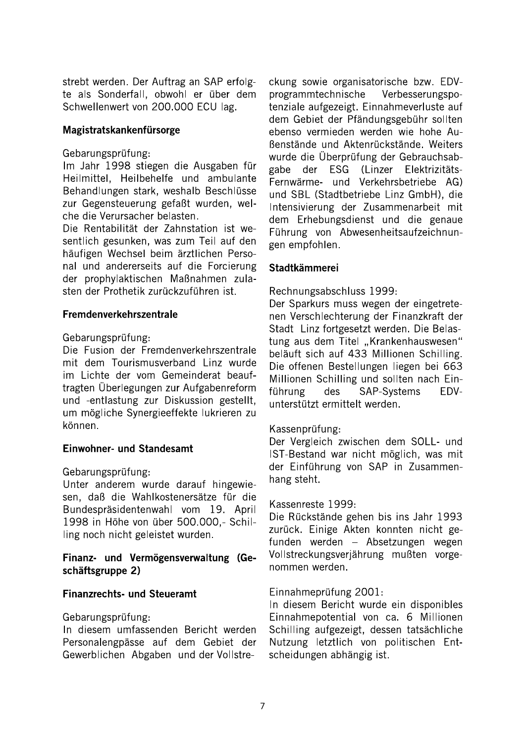strebt werden. Der Auftrag an SAP erfolgte als Sonderfall, obwohl er über dem Schwellenwert von 200.000 ECU lag.

#### Magistratskankenfürsorge

#### Gebarungsprüfung:

Im Jahr 1998 stiegen die Ausgaben für Heilmittel, Heilbehelfe und ambulante Behandlungen stark, weshalb Beschlüsse zur Gegensteuerung gefaßt wurden, welche die Verursacher belasten.

Die Rentabilität der Zahnstation ist wesentlich gesunken, was zum Teil auf den häufigen Wechsel beim ärztlichen Personal und andererseits auf die Forcierung der prophylaktischen Maßnahmen zulasten der Prothetik zurückzuführen ist.

#### Fremdenverkehrszentrale

#### Gebarungsprüfung:

Die Fusion der Fremdenverkehrszentrale mit dem Tourismusverband Linz wurde im Lichte der vom Gemeinderat beauftragten Überlegungen zur Aufgabenreform und -entlastung zur Diskussion gestellt, um mögliche Synergieeffekte lukrieren zu können.

#### Einwohner- und Standesamt

#### Gebarungsprüfung:

Unter anderem wurde darauf hingewiesen, daß die Wahlkostenersätze für die Bundespräsidentenwahl vom 19. April 1998 in Höhe von über 500.000,- Schilling noch nicht geleistet wurden.

#### Finanz- und Vermögensverwaltung (Geschäftsgruppe 2)

#### **Finanzrechts- und Steueramt**

#### Gebarungsprüfung:

In diesem umfassenden Bericht werden Personalengpässe auf dem Gebiet der Gewerblichen Abgaben und der Vollstreckung sowie organisatorische bzw. EDVprogrammtechnische Verbesserungspotenziale aufgezeigt. Einnahmeverluste auf dem Gebiet der Pfändungsgebühr sollten ebenso vermieden werden wie hohe Au-Benstände und Aktenrückstände. Weiters wurde die Überprüfung der Gebrauchsabgabe der ESG (Linzer Elektrizitäts-Fernwärme- und Verkehrsbetriebe AG) und SBL (Stadtbetriebe Linz GmbH), die Intensivierung der Zusammenarbeit mit dem Erhebungsdienst und die genaue Führung von Abwesenheitsaufzeichnungen empfohlen.

#### Stadtkämmerei

Rechnungsabschluss 1999:

Der Sparkurs muss wegen der eingetretenen Verschlechterung der Finanzkraft der Stadt Linz fortgesetzt werden. Die Belastung aus dem Titel "Krankenhauswesen" beläuft sich auf 433 Millionen Schilling. Die offenen Bestellungen liegen bei 663 Millionen Schilling und sollten nach Einführung des **SAP-Systems** EDVunterstützt ermittelt werden.

#### Kassenprüfung:

Der Vergleich zwischen dem SOLL- und IST-Bestand war nicht möglich, was mit der Einführung von SAP in Zusammenhang steht.

#### Kassenreste 1999:

Die Rückstände gehen bis ins Jahr 1993 zurück. Einige Akten konnten nicht gefunden werden - Absetzungen wegen Vollstreckungsverjährung mußten vorgenommen werden.

#### Einnahmeprüfung 2001:

In diesem Bericht wurde ein disponibles Einnahmepotential von ca. 6 Millionen Schilling aufgezeigt, dessen tatsächliche Nutzung letztlich von politischen Entscheidungen abhängig ist.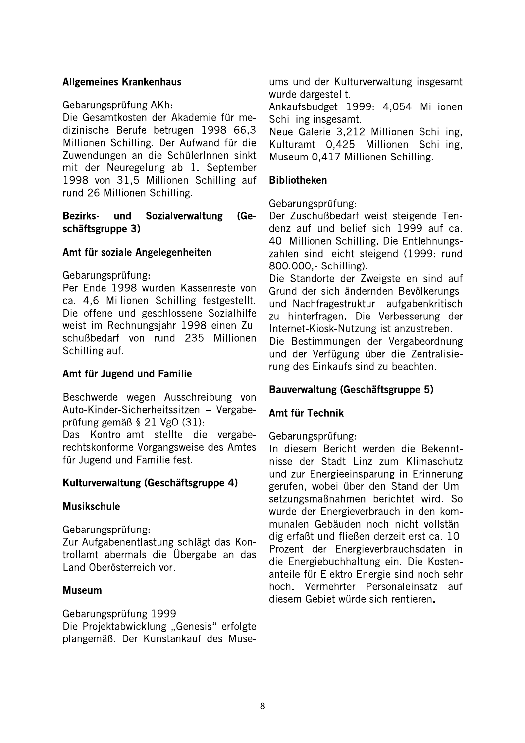## **Allgemeines Krankenhaus**

## Gebarungsprüfung AKh:

Die Gesamtkosten der Akademie für medizinische Berufe betrugen 1998 66,3 Millionen Schilling. Der Aufwand für die Zuwendungen an die SchülerInnen sinkt mit der Neuregelung ab 1. September 1998 von 31.5 Millionen Schilling auf rund 26 Millionen Schilling.

#### **Bezirks**und Sozialverwaltung  $(Ge$ schäftsgruppe 3)

## Amt für soziale Angelegenheiten

Gebarungsprüfung:

Per Ende 1998 wurden Kassenreste von ca. 4,6 Millionen Schilling festgestellt. Die offene und geschlossene Sozialhilfe weist im Rechnungsiahr 1998 einen Zuschußbedarf von rund 235 Millionen Schilling auf.

# Amt für Jugend und Familie

Beschwerde wegen Ausschreibung von Auto-Kinder-Sicherheitssitzen - Vergabeprüfung gemäß § 21 VgO (31):

Das Kontrollamt stellte die vergaberechtskonforme Vorgangsweise des Amtes für Jugend und Familie fest.

# Kulturverwaltung (Geschäftsgruppe 4)

#### **Musikschule**

Gebarungsprüfung:

Zur Aufgabenentlastung schlägt das Kontrollamt abermals die Übergabe an das Land Oberösterreich vor.

#### **Museum**

Gebarungsprüfung 1999

Die Projektabwicklung "Genesis" erfolgte plangemäß. Der Kunstankauf des Muse-

ums und der Kulturverwaltung insgesamt wurde dargestellt.

Ankaufsbudget 1999: 4,054 Millionen Schilling insgesamt.

Neue Galerie 3.212 Millionen Schilling. Kulturamt 0.425 Millionen Schilling. Museum 0,417 Millionen Schilling.

## **Bibliotheken**

Gebarungsprüfung:

Der Zuschußbedarf weist steigende Tendenz auf und belief sich 1999 auf ca. 40 Millionen Schilling. Die Entlehnungszahlen sind leicht steigend (1999: rund 800.000 .- Schilling).

Die Standorte der Zweigstellen sind auf Grund der sich ändernden Bevölkerungsund Nachfragestruktur aufgabenkritisch zu hinterfragen. Die Verbesserung der Internet-Kiosk-Nutzung ist anzustreben. Die Bestimmungen der Vergabeordnung

und der Verfügung über die Zentralisierung des Einkaufs sind zu beachten.

# Bauverwaltung (Geschäftsgruppe 5)

#### Amt für Technik

#### Gebarungsprüfung:

In diesem Bericht werden die Bekenntnisse der Stadt Linz zum Klimaschutz und zur Energieeinsparung in Erinnerung gerufen, wobei über den Stand der Umsetzungsmaßnahmen berichtet wird. So wurde der Energieverbrauch in den kommunalen Gebäuden noch nicht vollständig erfaßt und fließen derzeit erst ca. 10 Prozent der Energieverbrauchsdaten in die Energiebuchhaltung ein. Die Kostenanteile für Elektro-Energie sind noch sehr hoch. Vermehrter Personaleinsatz auf diesem Gebiet würde sich rentieren.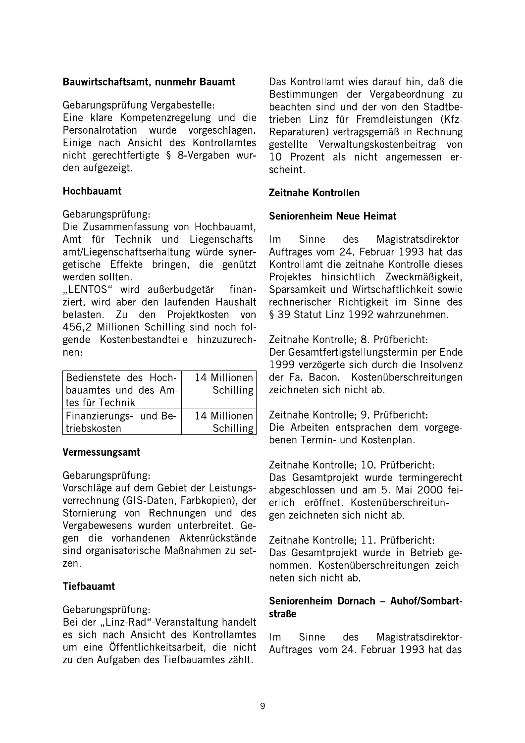## Bauwirtschaftsamt, nunmehr Bauamt

Gebarungsprüfung Vergabestelle:

Eine klare Kompetenzregelung und die Personalrotation wurde vorgeschlagen. Einige nach Ansicht des Kontrollamtes nicht gerechtfertigte § 8-Vergaben wurden aufgezeigt.

## Hochbauamt

#### Gebarungsprüfung:

Die Zusammenfassung von Hochbauamt, Amt für Technik und Liegenschaftsamt/Liegenschaftserhaltung würde synergetische Effekte bringen, die genützt werden sollten.

"LENTOS" wird außerbudgetär finanziert, wird aber den laufenden Haushalt belasten. Zu den Projektkosten von 456,2 Millionen Schilling sind noch folgende Kostenbestandteile hinzuzurechnen:

| Bedienstete des Hoch-         | 14 Millionen     |
|-------------------------------|------------------|
| bauamtes und des Am-          | Schilling        |
| ltes für Technik              |                  |
| <b>Finanzierungs- und Be-</b> | 14 Millionen     |
| l triebskosten                | <b>Schilling</b> |

# Vermessungsamt

Gebarungsprüfung:

Vorschläge auf dem Gebiet der Leistungsverrechnung (GIS-Daten, Farbkopien), der Stornierung von Rechnungen und des Vergabewesens wurden unterbreitet. Gegen die vorhandenen Aktenrückstände sind organisatorische Maßnahmen zu setzen.

# **Tiefbauamt**

Gebarungsprüfung:

Bei der "Linz-Rad"-Veranstaltung handelt es sich nach Ansicht des Kontrollamtes um eine Öffentlichkeitsarbeit, die nicht zu den Aufgaben des Tiefbauamtes zählt.

Das Kontrollamt wies darauf hin, daß die Bestimmungen der Vergabeordnung zu beachten sind und der von den Stadtbetrieben Linz für Fremdleistungen (Kfz-Reparaturen) vertragsgemäß in Rechnung gestellte Verwaltungskostenbeitrag von 10 Prozent als nicht angemessen erscheint.

# Zeitnahe Kontrollen

# Seniorenheim Neue Heimat

des  $Im$ **Sinne** Magistratsdirektor-Auftrages vom 24. Februar 1993 hat das Kontrollamt die zeitnahe Kontrolle dieses Projektes hinsichtlich Zweckmäßigkeit, Sparsamkeit und Wirtschaftlichkeit sowie rechnerischer Richtigkeit im Sinne des § 39 Statut Linz 1992 wahrzunehmen.

Zeitnahe Kontrolle; 8. Prüfbericht: Der Gesamtfertigstellungstermin per Ende 1999 verzögerte sich durch die Insolvenz der Fa. Bacon. Kostenüberschreitungen zeichneten sich nicht ab.

Zeitnahe Kontrolle: 9. Prüfbericht: Die Arbeiten entsprachen dem vorgegebenen Termin- und Kostenplan.

Zeitnahe Kontrolle; 10. Prüfbericht: Das Gesamtprojekt wurde termingerecht abgeschlossen und am 5. Mai 2000 feierlich eröffnet. Kostenüberschreitungen zeichneten sich nicht ab.

Zeitnahe Kontrolle; 11. Prüfbericht: Das Gesamtprojekt wurde in Betrieb genommen. Kostenüberschreitungen zeichneten sich nicht ab.

## Seniorenheim Dornach - Auhof/Sombartstraße

 $Im$ Sinne des Magistratsdirektor-Auftrages vom 24. Februar 1993 hat das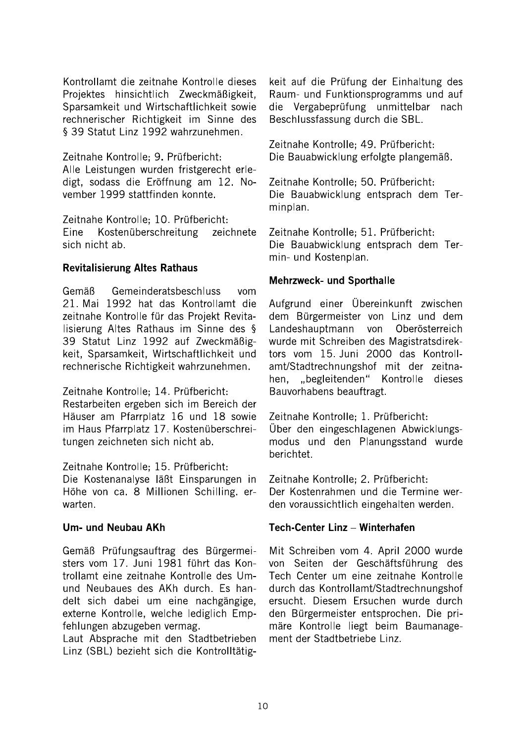Kontrollamt die zeitnahe Kontrolle dieses Projektes hinsichtlich Zweckmäßigkeit. Sparsamkeit und Wirtschaftlichkeit sowie rechnerischer Richtigkeit im Sinne des § 39 Statut Linz 1992 wahrzunehmen.

Zeitnahe Kontrolle; 9. Prüfbericht: Alle Leistungen wurden fristgerecht erledigt. sodass die Eröffnung am 12. November 1999 stattfinden konnte.

Zeitnahe Kontrolle: 10. Prüfbericht: Eine Kostenüberschreitung zeichnete sich nicht ab.

## **Revitalisierung Altes Rathaus**

Gemäß Gemeinderatsbeschluss vom 21. Mai 1992 hat das Kontrollamt die zeitnahe Kontrolle für das Projekt Revitalisierung Altes Rathaus im Sinne des § 39 Statut Linz 1992 auf Zweckmäßigkeit, Sparsamkeit, Wirtschaftlichkeit und rechnerische Richtigkeit wahrzunehmen.

Zeitnahe Kontrolle: 14. Prüfbericht: Restarbeiten ergeben sich im Bereich der Häuser am Pfarrplatz 16 und 18 sowie im Haus Pfarrplatz 17. Kostenüberschreitungen zeichneten sich nicht ab.

Zeitnahe Kontrolle; 15. Prüfbericht:

Die Kostenanalyse läßt Einsparungen in Höhe von ca. 8 Millionen Schilling. erwarten.

# Um- und Neubau AKh

Gemäß Prüfungsauftrag des Bürgermeisters vom 17. Juni 1981 führt das Kontrollamt eine zeitnahe Kontrolle des Umund Neubaues des AKh durch. Es handelt sich dabei um eine nachgängige, externe Kontrolle, welche lediglich Empfehlungen abzugeben vermag.

Laut Absprache mit den Stadtbetrieben Linz (SBL) bezieht sich die Kontrolltätig-

keit auf die Prüfung der Einhaltung des Raum- und Funktionsprogramms und auf die Vergabeprüfung unmittelbar nach Beschlussfassung durch die SBL.

Zeitnahe Kontrolle; 49. Prüfbericht: Die Bauabwicklung erfolgte plangemäß.

Zeitnahe Kontrolle: 50. Prüfbericht: Die Bauabwicklung entsprach dem Terminplan.

Zeitnahe Kontrolle: 51. Prüfbericht: Die Bauabwicklung entsprach dem Termin- und Kostenplan.

## **Mehrzweck- und Sporthalle**

Aufgrund einer Übereinkunft zwischen dem Bürgermeister von Linz und dem Landeshauptmann von Oberösterreich wurde mit Schreiben des Magistratsdirektors vom 15. Juni 2000 das Kontrollamt/Stadtrechnungshof mit der zeitnahen, "begleitenden" Kontrolle dieses Bauvorhabens beauftragt.

Zeitnahe Kontrolle; 1. Prüfbericht: Über den eingeschlagenen Abwicklungsmodus und den Planungsstand wurde berichtet.

Zeitnahe Kontrolle; 2. Prüfbericht: Der Kostenrahmen und die Termine werden voraussichtlich eingehalten werden.

# Tech-Center Linz - Winterhafen

Mit Schreiben vom 4. April 2000 wurde von Seiten der Geschäftsführung des Tech Center um eine zeitnahe Kontrolle durch das Kontrollamt/Stadtrechnungshof ersucht. Diesem Ersuchen wurde durch den Bürgermeister entsprochen. Die primäre Kontrolle liegt beim Baumanagement der Stadtbetriebe Linz.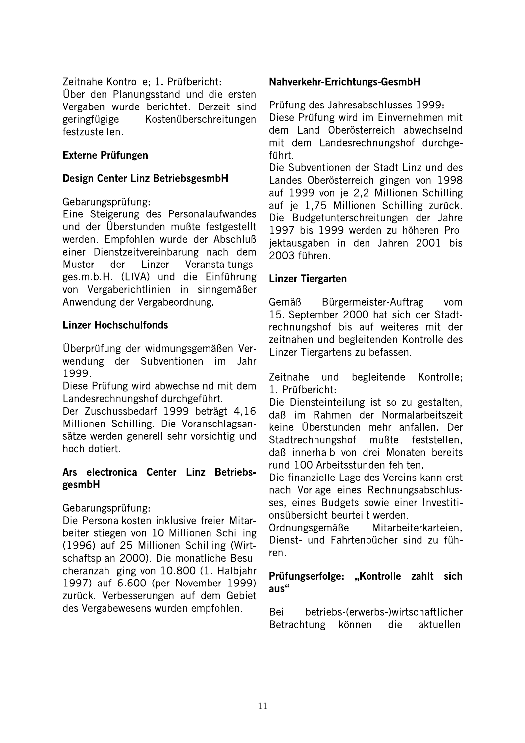## Zeitnahe Kontrolle: 1. Prüfbericht:

Über den Planungsstand und die ersten Vergaben wurde berichtet. Derzeit sind geringfügige Kostenüberschreitungen festzustellen.

## **Externe Prüfungen**

## Design Center Linz BetriebsgesmbH

## Gebarungsprüfung:

Eine Steigerung des Personalaufwandes und der Überstunden mußte festgestellt werden. Empfohlen wurde der Abschluß einer Dienstzeitvereinbarung nach dem **Muster** der Linzer Veranstaltungsges.m.b.H. (LIVA) und die Einführung von Vergaberichtlinien in sinngemäßer Anwendung der Vergabeordnung.

# **Linzer Hochschulfonds**

Überprüfung der widmungsgemäßen Verwendung der Subventionen im Jahr 1999.

Diese Prüfung wird abwechselnd mit dem Landesrechnungshof durchgeführt.

Der Zuschussbedarf 1999 beträgt 4,16 Millionen Schilling. Die Voranschlagsansätze werden generell sehr vorsichtig und hoch dotiert.

## Ars electronica Center Linz BetriebsgesmbH

Gebarungsprüfung:

Die Personalkosten inklusive freier Mitarbeiter stiegen von 10 Millionen Schilling (1996) auf 25 Millionen Schilling (Wirtschaftsplan 2000). Die monatliche Besucheranzahl ging von 10.800 (1. Halbjahr 1997) auf 6.600 (per November 1999) zurück. Verbesserungen auf dem Gebiet des Vergabewesens wurden empfohlen.

## Nahverkehr-Errichtungs-GesmbH

Prüfung des Jahresabschlusses 1999:

Diese Prüfung wird im Einvernehmen mit dem Land Oberösterreich abwechselnd mit dem Landesrechnungshof durchgeführt.

Die Subventionen der Stadt Linz und des Landes Oberösterreich gingen von 1998 auf 1999 von je 2,2 Millionen Schilling auf je 1,75 Millionen Schilling zurück. Die Budgetunterschreitungen der Jahre 1997 bis 1999 werden zu höheren Projektausgaben in den Jahren 2001 bis 2003 führen.

# **Linzer Tiergarten**

Bürgermeister-Auftrag Gemäß vom 15. September 2000 hat sich der Stadtrechnungshof bis auf weiteres mit der zeitnahen und begleitenden Kontrolle des Linzer Tiergartens zu befassen.

Zeitnahe und. begleitende Kontrolle; 1. Prüfbericht:

Die Diensteinteilung ist so zu gestalten. daß im Rahmen der Normalarbeitszeit keine Überstunden mehr anfallen. Der Stadtrechnungshof mußte feststellen. daß innerhalb von drei Monaten bereits rund 100 Arbeitsstunden fehlten.

Die finanzielle Lage des Vereins kann erst nach Vorlage eines Rechnungsabschlusses, eines Budgets sowie einer Investitionsübersicht beurteilt werden.

Ordnungsgemäße Mitarbeiterkarteien. Dienst- und Fahrtenbücher sind zu führen.

## Prüfungserfolge: "Kontrolle zahlt sich  $a$ us"

Bei betriebs-(erwerbs-)wirtschaftlicher Betrachtung können die aktuellen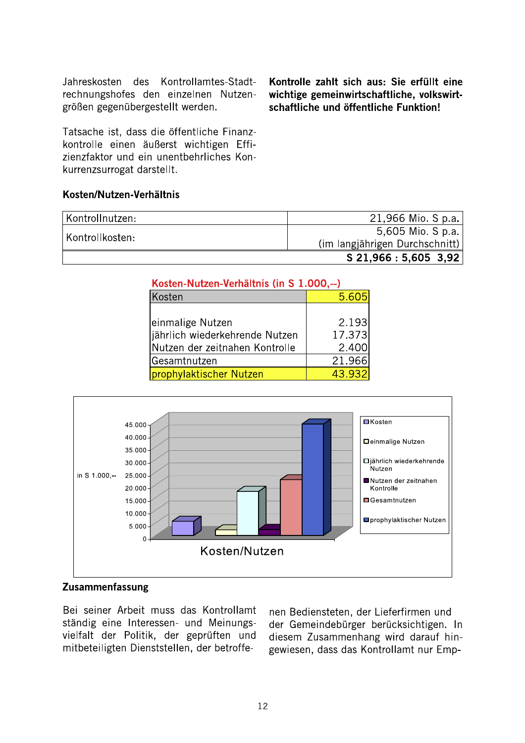Jahreskosten des Kontrollamtes-Stadtrechnungshofes den einzelnen Nutzengrößen gegenübergestellt werden.

Tatsache ist, dass die öffentliche Finanzkontrolle einen äußerst wichtigen Effizienzfaktor und ein unentbehrliches Konkurrenzsurrogat darstellt.

#### Kosten/Nutzen-Verhältnis

Kontrollnutzen: 21,966 Mio. S p.a. 5,605 Mio. S p.a. Kontrollkosten: (im langjährigen Durchschnitt)  $S$  21,966 : 5,605 3,92

| Kosten-Nutzen-Verhältnis (in S 1.000,--) |        |  |
|------------------------------------------|--------|--|
| Kosten                                   | 5.605  |  |
|                                          |        |  |
| einmalige Nutzen                         | 2.193  |  |
| jährlich wiederkehrende Nutzen           | 17.373 |  |
| Nutzen der zeitnahen Kontrolle           | 2.400  |  |
| Gesamtnutzen                             | 21.966 |  |
| prophylaktischer Nutzen                  | 43.932 |  |



#### **Zusammenfassung**

Bei seiner Arbeit muss das Kontrollamt ständig eine Interessen- und Meinungsvielfalt der Politik, der geprüften und mitbeteiligten Dienststellen, der betroffe-

nen Bediensteten, der Lieferfirmen und der Gemeindebürger berücksichtigen. In diesem Zusammenhang wird darauf hingewiesen, dass das Kontrollamt nur Emp-

Kontrolle zahlt sich aus: Sie erfüllt eine wichtige gemeinwirtschaftliche, volkswirtschaftliche und öffentliche Funktion!